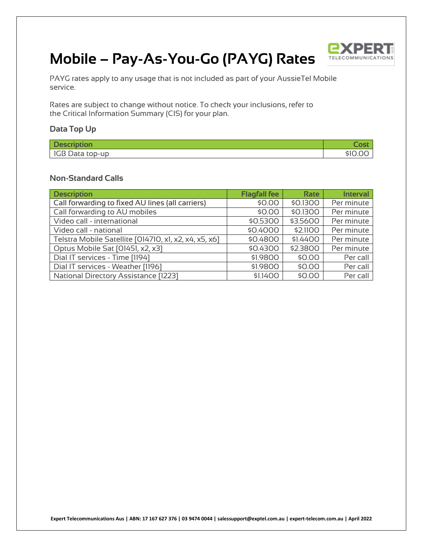

# **Mobile – Pay-As-You-Go (PAYG) Rates**

PAYG rates apply to any usage that is not included as part of your AussieTel Mobile service.

Rates are subject to change without notice. To check your inclusions, refer to the Critical Information Summary (CIS) for your plan.

### **Data Top Up**

| <b>CONTRACTOR</b> | $\sim$ |
|-------------------|--------|
| Data top-up<br>טט |        |

#### **Non-Standard Calls**

| <b>Description</b>                                    | <b>Flagfall fee</b> | <b>Rate</b> | <b>Interval</b> |
|-------------------------------------------------------|---------------------|-------------|-----------------|
| Call forwarding to fixed AU lines (all carriers)      | \$0.00              | \$0.1300    | Per minute      |
| Call forwarding to AU mobiles                         | \$0.00              | \$0.1300    | Per minute      |
| Video call - international                            | \$0.5300            | \$3.5600    | Per minute      |
| Video call - national                                 | \$0.4000            | \$2.1100    | Per minute      |
| Telstra Mobile Satellite [014710, x1, x2, x4, x5, x6] | \$0.4800            | \$1,4400    | Per minute      |
| Optus Mobile Sat [01451, x2, x3]                      | \$0.4300            | \$2,3800    | Per minute      |
| Dial IT services - Time [1194]                        | \$1.9800            | \$0.00      | Per call        |
| Dial IT services - Weather [1196]                     | \$1.9800            | \$0.00      | Per call        |
| <b>National Directory Assistance [1223]</b>           | \$1.1400            | \$0.00      | Per call        |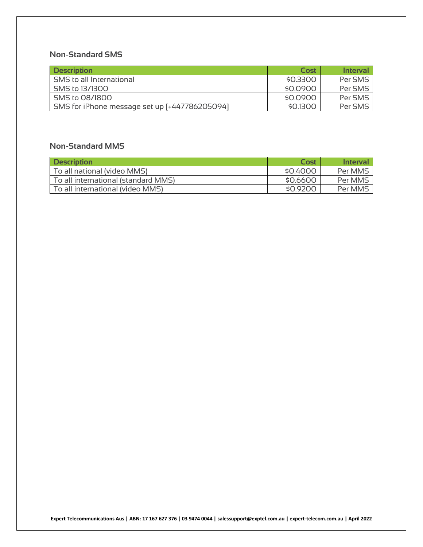## **Non-Standard SMS**

| <b>Description</b>                            | Cost     | <b>Interval</b> |
|-----------------------------------------------|----------|-----------------|
| SMS to all International                      | \$0.3300 | Per SMS         |
| SMS to 13/1300                                | \$0.0900 | Per SMS         |
| SMS to 08/1800                                | \$0.0900 | Per SMS         |
| SMS for iPhone message set up [+447786205094] | \$0.1300 | Per SMS         |

## **Non-Standard MMS**

| <b>Description</b>                  | Cost     | <b>Interval</b> |
|-------------------------------------|----------|-----------------|
| To all national (video MMS)         | \$0.4000 | Per MMS         |
| To all international (standard MMS) | \$0,6600 | Per MMS         |
| To all international (video MMS)    | \$0.9200 | Per MMS         |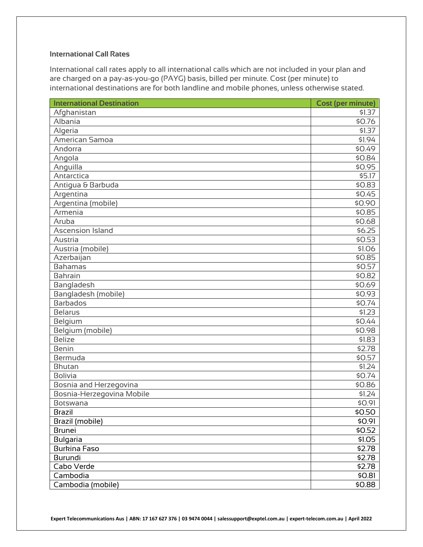#### **International Call Rates**

International call rates apply to all international calls which are not included in your plan and are charged on a pay-as-you-go (PAYG) basis, billed per minute. Cost (per minute) to international destinations are for both landline and mobile phones, unless otherwise stated.

| <b>International Destination</b> | <b>Cost (per minute)</b> |
|----------------------------------|--------------------------|
| Afghanistan                      | \$1.37                   |
| Albania                          | \$0.76                   |
| Algeria                          | \$1.37                   |
| American Samoa                   | \$1.94                   |
| Andorra                          | \$0.49                   |
| Angola                           | \$0.84                   |
| Anguilla                         | \$0.95                   |
| Antarctica                       | \$5.17                   |
| Antigua & Barbuda                | \$0.83                   |
| Argentina                        | \$0.45                   |
| Argentina (mobile)               | \$0.90                   |
| Armenia                          | \$0.85                   |
| Aruba                            | \$0.68                   |
| <b>Ascension Island</b>          | \$6.25                   |
| Austria                          | \$0.53                   |
| Austria (mobile)                 | \$1.06                   |
| Azerbaijan                       | \$0.85                   |
| <b>Bahamas</b>                   | \$0.57                   |
| Bahrain                          | \$0.82                   |
| Bangladesh                       | \$0.69                   |
| Bangladesh (mobile)              | \$0.93                   |
| <b>Barbados</b>                  | \$0.74                   |
| <b>Belarus</b>                   | \$1.23                   |
| Belgium                          | \$0.44                   |
| Belgium (mobile)                 | \$0.98                   |
| <b>Belize</b>                    | \$1.83                   |
| <b>Benin</b>                     | \$2.78                   |
| Bermuda                          | \$0.57                   |
| <b>Bhutan</b>                    | \$1.24                   |
| <b>Bolivia</b>                   | \$0.74                   |
| Bosnia and Herzegovina           | \$0.86                   |
| Bosnia-Herzegovina Mobile        | \$1.24                   |
| Botswana                         | \$0.91                   |
| <b>Brazil</b>                    | \$0.50                   |
| Brazil (mobile)                  | \$0.91                   |
| <b>Brunei</b>                    | \$0.52                   |
| <b>Bulgaria</b>                  | \$1.05                   |
| <b>Burkina Faso</b>              | \$2.78                   |
| Burundi                          | \$2.78                   |
| Cabo Verde                       | \$2.78                   |
| Cambodia                         | \$0.81                   |
| Cambodia (mobile)                | \$0.88                   |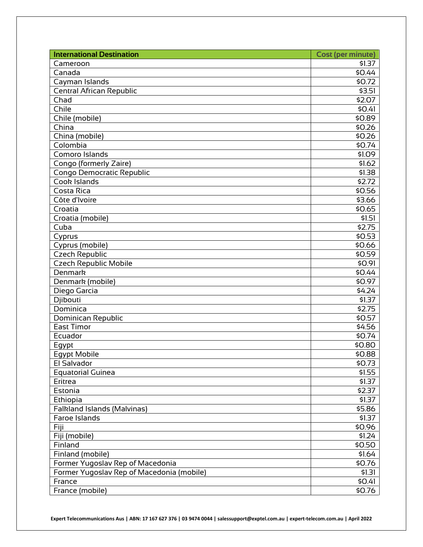| <b>International Destination</b>          | <b>Cost (per minute)</b> |
|-------------------------------------------|--------------------------|
| Cameroon                                  | \$1.37                   |
| Canada                                    | \$0.44                   |
| Cayman Islands                            | \$0.72                   |
| <b>Central African Republic</b>           | \$3.51                   |
| Chad                                      | \$2.07                   |
| Chile                                     | \$0.41                   |
| Chile (mobile)                            | \$0.89                   |
| China                                     | \$0.26                   |
| China (mobile)                            | \$0.26                   |
| Colombia                                  | \$0.74                   |
| Comoro Islands                            | \$1.09                   |
| Congo (formerly Zaire)                    | \$1.62                   |
| Congo Democratic Republic                 | \$1.38                   |
| Cook Islands                              | 52.72                    |
| Costa Rica                                | \$0.56                   |
| Côte d'Ivoire                             | \$3.66                   |
| Croatia                                   | \$0.65                   |
| Croatia (mobile)                          | \$1.51                   |
| Cuba                                      | \$2.75                   |
| Cyprus                                    | \$0.53                   |
| Cyprus (mobile)                           | \$0.66                   |
| <b>Czech Republic</b>                     | \$0.59                   |
| <b>Czech Republic Mobile</b>              | \$0.91                   |
| <b>Denmark</b>                            | \$0.44                   |
| Denmark (mobile)                          | \$0.97                   |
| Diego Garcia                              | \$4.24                   |
| Djibouti                                  | \$1.37                   |
| Dominica                                  | \$2.75                   |
| Dominican Republic                        | \$0.57                   |
| <b>East Timor</b>                         | \$4.56                   |
| Ecuador                                   | \$0.74                   |
| Egypt                                     | \$0.80                   |
| <b>Egypt Mobile</b>                       | \$0.88                   |
| El Salvador                               | \$0.73                   |
| <b>Equatorial Guinea</b>                  | \$1.55                   |
| Eritrea                                   | \$1.37                   |
| Estonia                                   | \$2.37                   |
| Ethiopia                                  | \$1.37                   |
| Falkland Islands (Malvinas)               | \$5.86                   |
| Faroe Islands                             | \$1.37                   |
| Fiji                                      | \$0.96                   |
| Fiji (mobile)                             | \$1.24                   |
| Finland                                   | \$0.50                   |
| Finland (mobile)                          | \$1.64                   |
| Former Yugoslav Rep of Macedonia          | \$0.76                   |
| Former Yugoslav Rep of Macedonia (mobile) | \$1.31                   |
| France                                    | \$0.41                   |
| France (mobile)                           | \$0.76                   |

**Expert Telecommunications Aus | ABN: 17 167 627 376 | 03 9474 0044 | salessupport@exptel.com.au | expert-telecom.com.au | April 2022**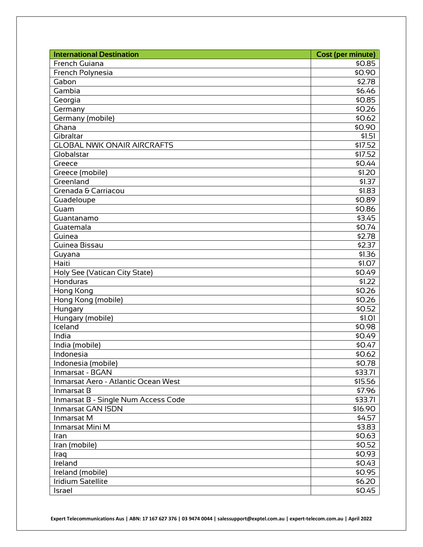| <b>International Destination</b>    | <b>Cost (per minute)</b> |
|-------------------------------------|--------------------------|
| French Guiana                       | \$0.85                   |
| French Polynesia                    | \$0.90                   |
| Gabon                               | \$2.78                   |
| Gambia                              | \$6.46                   |
| Georgia                             | \$0.85                   |
| Germany                             | \$0.26                   |
| Germany (mobile)                    | \$0.62                   |
| Ghana                               | \$0.90                   |
| Gibraltar                           | \$1.51                   |
| <b>GLOBAL NWK ONAIR AIRCRAFTS</b>   | \$17.52                  |
| Globalstar                          | \$17.52                  |
| Greece                              | \$0.44                   |
| Greece (mobile)                     | \$1.20                   |
| Greenland                           | \$1.37                   |
| Grenada & Carriacou                 | \$1.83                   |
| Guadeloupe                          | \$0.89                   |
| Guam                                | \$0.86                   |
| Guantanamo                          | \$3.45                   |
| Guatemala                           | \$0.74                   |
| Guinea                              | \$2.78                   |
| Guinea Bissau                       | \$2.37                   |
| Guyana                              | \$1.36                   |
| Haiti                               | \$1.07                   |
| Holy See (Vatican City State)       | \$0.49                   |
| Honduras                            | \$1.22                   |
| Hong Kong                           | \$0.26                   |
| Hong Kong (mobile)                  | \$0.26                   |
| Hungary                             | \$0.52                   |
| Hungary (mobile)                    | \$1.01                   |
| Iceland                             | \$0.98                   |
| India                               | \$0.49                   |
| India (mobile)                      | \$0.47                   |
| Indonesia                           | \$0.62                   |
| Indonesia (mobile)                  | \$0.78                   |
| Inmarsat - BGAN                     | \$33.71                  |
| Inmarsat Aero - Atlantic Ocean West | \$15.56                  |
| Inmarsat B                          | \$7.96                   |
| Inmarsat B - Single Num Access Code | \$33.71                  |
| Inmarsat GAN ISDN                   | \$16.90                  |
| Inmarsat M                          | \$4.57                   |
| Inmarsat Mini M                     | \$3.83                   |
| Iran                                | \$0.63                   |
| Iran (mobile)                       | \$0.52                   |
| Iraq                                | \$0.93                   |
| Ireland                             | \$0.43                   |
| Ireland (mobile)                    | \$0.95                   |
| <b>Iridium Satellite</b>            | \$6.20                   |
| Israel                              | \$0.45                   |

**Expert Telecommunications Aus | ABN: 17 167 627 376 | 03 9474 0044 | salessupport@exptel.com.au | expert-telecom.com.au | April 2022**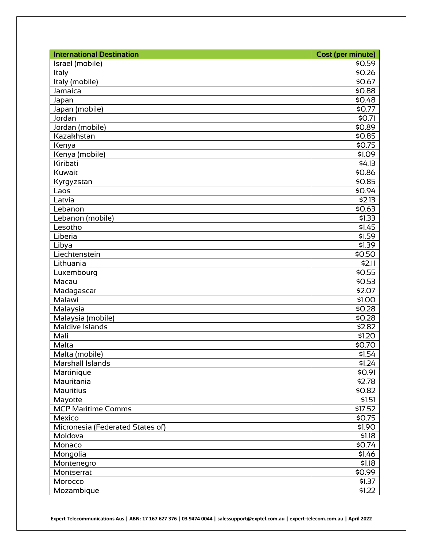| <b>International Destination</b> | <b>Cost (per minute)</b> |
|----------------------------------|--------------------------|
| Israel (mobile)                  | \$0.59                   |
| Italy                            | \$0.26                   |
| Italy (mobile)                   | \$0.67                   |
| Jamaica                          | \$0.88                   |
| Japan                            | \$0.48                   |
| Japan (mobile)                   | \$0.77                   |
| Jordan                           | \$0.71                   |
| Jordan (mobile)                  | \$0.89                   |
| Kazakhstan                       | \$0.85                   |
| Kenya                            | \$0.75                   |
| Kenya (mobile)                   | \$1.09                   |
| Kiribati                         | \$4.13                   |
| Kuwait                           | \$0.86                   |
| Kyrgyzstan                       | \$0.85                   |
| Laos                             | \$0.94                   |
| Latvia                           | \$2.13                   |
| Lebanon                          | \$0.63                   |
| Lebanon (mobile)                 | \$1.33                   |
| Lesotho                          | \$1.45                   |
| Liberia                          | \$1.59                   |
| Libya                            | \$1.39                   |
| Liechtenstein                    | \$0.50                   |
| Lithuania                        | \$2.11                   |
| Luxembourg                       | \$0.55                   |
| Macau                            | \$0.53                   |
| Madagascar                       | \$2.07                   |
| Malawi                           | \$1.00                   |
| Malaysia                         | \$0.28                   |
| Malaysia (mobile)                | \$0.28                   |
| Maldive Islands                  | \$2.82                   |
| Mali                             | \$1.20                   |
| Malta                            | \$0.70                   |
| Malta (mobile)                   | \$1.54                   |
| Marshall Islands                 | \$1.24                   |
| Martinique                       | \$0.91                   |
| Mauritania                       | \$2.78                   |
| <b>Mauritius</b>                 | \$0.82                   |
| Mayotte                          | \$1.51                   |
| <b>MCP Maritime Comms</b>        | \$17.52                  |
| Mexico                           | \$0.75                   |
| Micronesia (Federated States of) | \$1.90                   |
| Moldova                          | \$1.18                   |
| Monaco                           | \$0.74                   |
| Mongolia                         | \$1.46                   |
| Montenegro                       | \$1.18                   |
| Montserrat                       | \$0.99                   |
| Morocco                          | \$1.37                   |
| Mozambique                       | \$1.22                   |

**Expert Telecommunications Aus | ABN: 17 167 627 376 | 03 9474 0044 | salessupport@exptel.com.au | expert-telecom.com.au | April 2022**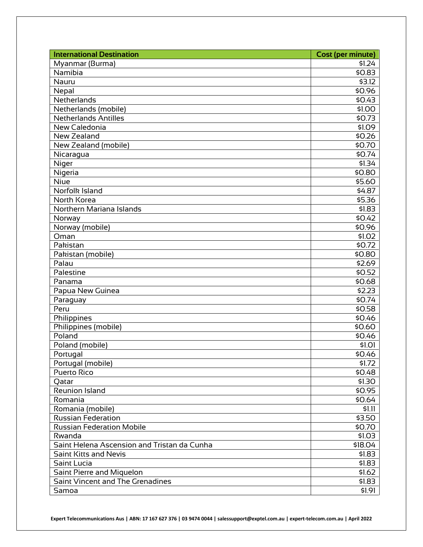| <b>International Destination</b>            | <b>Cost (per minute)</b> |
|---------------------------------------------|--------------------------|
| Myanmar (Burma)                             | \$1.24                   |
| Namibia                                     | \$0.83                   |
| Nauru                                       | \$3.12                   |
| Nepal                                       | \$0.96                   |
| Netherlands                                 | \$0.43                   |
| Netherlands (mobile)                        | \$1.00                   |
| Netherlands Antilles                        | \$0.73                   |
| New Caledonia                               | \$1.09                   |
| New Zealand                                 | \$0.26                   |
| New Zealand (mobile)                        | \$0.70                   |
| Nicaragua                                   | \$0.74                   |
| Niger                                       | \$1.34                   |
| Nigeria                                     | \$0.80                   |
| Niue                                        | \$5.60                   |
| Norfolk Island                              | \$4.87                   |
| North Korea                                 | \$5.36                   |
| Northern Mariana Islands                    | \$1.83                   |
| Norway                                      | 50.42                    |
| Norway (mobile)                             | \$0.96                   |
| Oman                                        | \$1.02                   |
| Pakistan                                    | \$0.72                   |
| Pakistan (mobile)                           | \$0.80                   |
| Palau                                       | \$2.69                   |
| Palestine                                   | \$0.52                   |
| Panama                                      | \$0.68                   |
| Papua New Guinea                            | \$2.23                   |
| Paraguay                                    | \$0.74                   |
| Peru                                        | \$0.58                   |
| Philippines                                 | \$0.46                   |
| Philippines (mobile)                        | \$0.60                   |
| $\overline{Pol}$ and                        | \$0.46                   |
| Poland (mobile)                             | \$1.01                   |
| Portugal                                    | \$0.46                   |
| Portugal (mobile)                           | \$1.72                   |
| <b>Puerto Rico</b>                          | \$0.48                   |
| Qatar                                       | \$1.30                   |
| Reunion Island                              | \$0.95                   |
| Romania                                     | \$0.64                   |
| Romania (mobile)                            | \$1.11                   |
| <b>Russian Federation</b>                   | \$3.50                   |
| <b>Russian Federation Mobile</b>            | \$0.70                   |
| Rwanda                                      | \$1.03                   |
| Saint Helena Ascension and Tristan da Cunha | \$18.04                  |
| <b>Saint Kitts and Nevis</b>                | \$1.83                   |
| Saint Lucia                                 | \$1.83                   |
| Saint Pierre and Miquelon                   | \$1.62                   |
| <b>Saint Vincent and The Grenadines</b>     | \$1.83                   |
| Samoa                                       | \$1.91                   |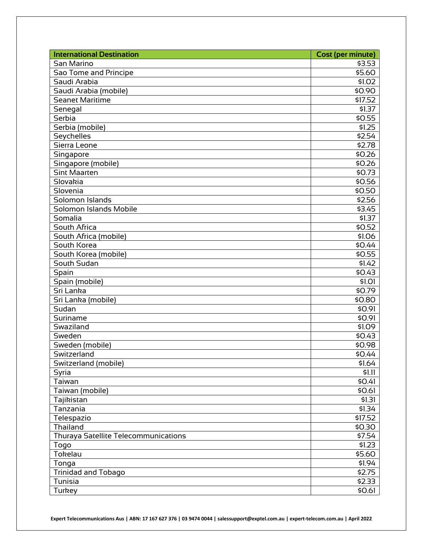| <b>International Destination</b>            | <b>Cost (per minute)</b> |
|---------------------------------------------|--------------------------|
| San Marino                                  | \$3.53                   |
| Sao Tome and Principe                       | \$5.60                   |
| Saudi Arabia                                | \$1.02                   |
| Saudi Arabia (mobile)                       | \$0.90                   |
| <b>Seanet Maritime</b>                      | \$17.52                  |
| Senegal                                     | \$1.37                   |
| Serbia                                      | \$0.55                   |
| Serbia (mobile)                             | \$1.25                   |
| Seychelles                                  | \$2.54                   |
| Sierra Leone                                | \$2.78                   |
| Singapore                                   | \$0.26                   |
| Singapore (mobile)                          | \$0.26                   |
| <b>Sint Maarten</b>                         | \$0.73                   |
| Slovakia                                    | \$0.56                   |
| Slovenia                                    | \$0.50                   |
| Solomon Islands                             | \$2.56                   |
| Solomon Islands Mobile                      | \$3.45                   |
| Somalia                                     | \$1.37                   |
| South Africa                                | \$0.52                   |
| South Africa (mobile)                       | \$1.06                   |
| South Korea                                 | \$0.44                   |
| South Korea (mobile)                        | \$0.55                   |
| South Sudan                                 | \$1.42                   |
| Spain                                       | \$0.43                   |
| Spain (mobile)                              | \$1.01                   |
| Sri Lanka                                   | \$0.79                   |
| Sri Lanka (mobile)                          | \$0.80                   |
| Sudan                                       | \$0.91                   |
| Suriname                                    | \$0.91                   |
| Swaziland                                   | \$1.09                   |
| Sweden                                      | \$0.43                   |
| Sweden (mobile)                             | \$0.98                   |
| Switzerland                                 | \$0.44                   |
| Switzerland (mobile)                        | \$1.64                   |
| Syria                                       | \$1.11                   |
| Taiwan                                      | \$0.41                   |
| Taiwan (mobile)                             | \$0.61                   |
| Tajikistan                                  | \$1.31                   |
| Tanzania                                    | \$1.34                   |
| Telespazio                                  | \$17.52                  |
| Thailand                                    | \$0.30                   |
| <b>Thuraya Satellite Telecommunications</b> | \$7.54                   |
| Togo                                        | \$1.23                   |
| Tokelau                                     | \$5.60                   |
| Tonga                                       | \$1.94                   |
| <b>Trinidad and Tobago</b>                  | \$2.75                   |
| Tunisia                                     | \$2.33                   |
| Turkey                                      | \$0.61                   |